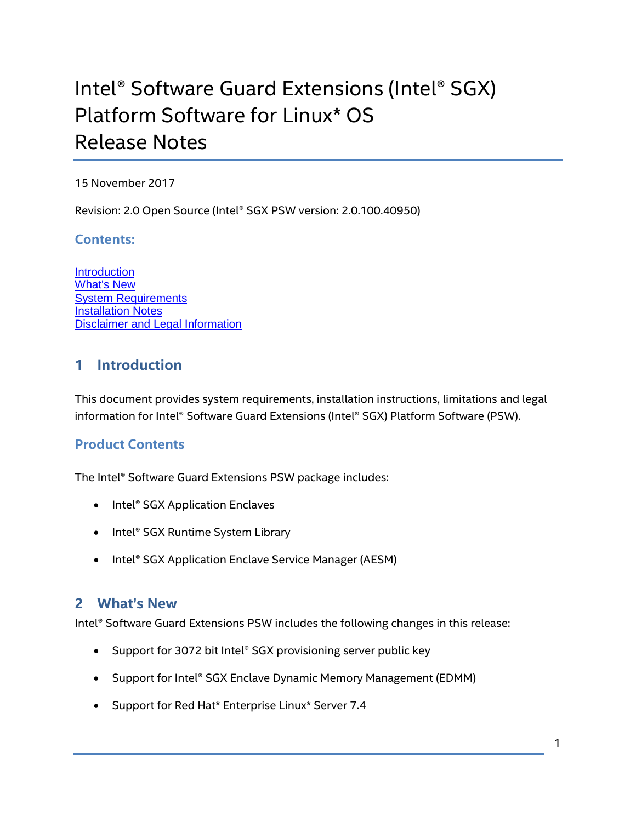# Intel® Software Guard Extensions (Intel® SGX) Platform Software for Linux\* OS Release Notes

15 November 2017

Revision: 2.0 Open Source (Intel® SGX PSW version: 2.0.100.40950)

**Contents:**

**[Introduction](#page-0-0)** [What's](#page-0-1) New System [Requirements](#page-0-2) [Installation Notes](#page-1-0) Disclaimer and Legal [Information](#page-1-0)

## <span id="page-0-0"></span>**1 Introduction**

This document provides system requirements, installation instructions, limitations and legal information for Intel® Software Guard Extensions (Intel® SGX) Platform Software (PSW).

### **Product Contents**

The Intel® Software Guard Extensions PSW package includes:

- <span id="page-0-1"></span>• Intel® SGX Application Enclaves
- Intel® SGX Runtime System Library
- Intel® SGX Application Enclave Service Manager (AESM)

### <span id="page-0-2"></span>**2 What's New**

Intel® Software Guard Extensions PSW includes the following changes in this release:

- Support for 3072 bit Intel® SGX provisioning server public key
- Support for Intel® SGX Enclave Dynamic Memory Management (EDMM)
- Support for Red Hat\* Enterprise Linux\* Server 7.4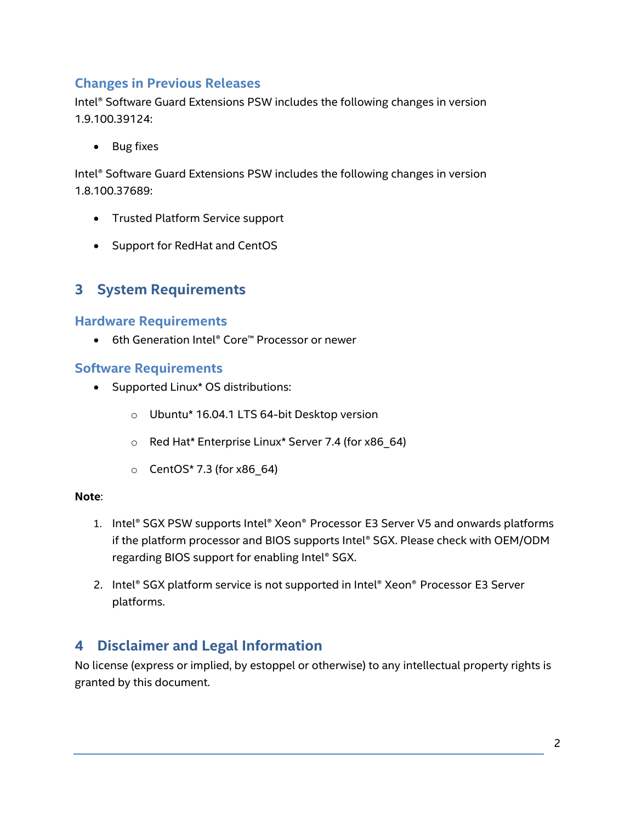## **Changes in Previous Releases**

Intel® Software Guard Extensions PSW includes the following changes in version 1.9.100.39124:

• Bug fixes

Intel® Software Guard Extensions PSW includes the following changes in version 1.8.100.37689:

- Trusted Platform Service support
- Support for RedHat and CentOS

# **3 System Requirements**

#### **Hardware Requirements**

• 6th Generation Intel® Core™ Processor or newer

#### **Software Requirements**

- Supported Linux\* OS distributions:
	- o Ubuntu\* 16.04.1 LTS 64-bit Desktop version
	- o Red Hat\* Enterprise Linux\* Server 7.4 (for x86\_64)
	- o CentOS\* 7.3 (for x86\_64)

#### **Note**:

- 1. Intel® SGX PSW supports Intel® Xeon® Processor E3 Server V5 and onwards platforms if the platform processor and BIOS supports Intel® SGX. Please check with OEM/ODM regarding BIOS support for enabling Intel® SGX.
- 2. Intel® SGX platform service is not supported in Intel® Xeon® Processor E3 Server platforms.

## <span id="page-1-0"></span>**4 Disclaimer and Legal Information**

No license (express or implied, by estoppel or otherwise) to any intellectual property rights is granted by this document.